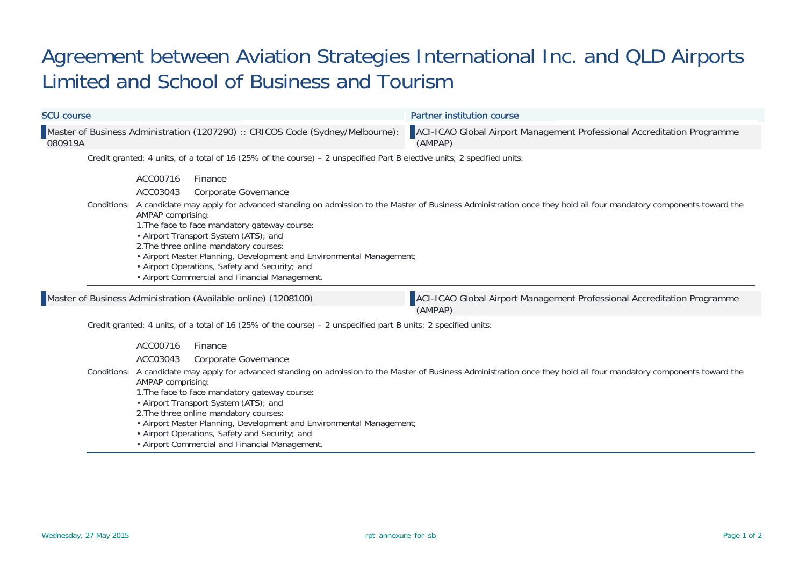## Agreement between Aviation Strategies International Inc. and QLD Airports Limited and School of Business and Tourism

| <b>SCU course</b> |                                                                                                                                                                                                                                                                                                                                                                                              | <b>Partner institution course</b>                                                                                                                                     |
|-------------------|----------------------------------------------------------------------------------------------------------------------------------------------------------------------------------------------------------------------------------------------------------------------------------------------------------------------------------------------------------------------------------------------|-----------------------------------------------------------------------------------------------------------------------------------------------------------------------|
| 080919A           | Master of Business Administration (1207290) :: CRICOS Code (Sydney/Melbourne):                                                                                                                                                                                                                                                                                                               | ACI-ICAO Global Airport Management Professional Accreditation Programme<br>(AMPAP)                                                                                    |
|                   | Credit granted: 4 units, of a total of 16 (25% of the course) - 2 unspecified Part B elective units; 2 specified units:                                                                                                                                                                                                                                                                      |                                                                                                                                                                       |
|                   | ACC00716<br>Finance<br>ACC03043<br>Corporate Governance<br>AMPAP comprising:<br>1. The face to face mandatory gateway course:<br>• Airport Transport System (ATS); and<br>2. The three online mandatory courses:<br>• Airport Master Planning, Development and Environmental Management;<br>• Airport Operations, Safety and Security; and<br>• Airport Commercial and Financial Management. | Conditions: A candidate may apply for advanced standing on admission to the Master of Business Administration once they hold all four mandatory components toward the |
|                   | Master of Business Administration (Available online) (1208100)                                                                                                                                                                                                                                                                                                                               | ACI-ICAO Global Airport Management Professional Accreditation Programme<br>(AMPAP)                                                                                    |
|                   | Credit granted: 4 units, of a total of 16 (25% of the course) - 2 unspecified part B units; 2 specified units:                                                                                                                                                                                                                                                                               |                                                                                                                                                                       |
|                   | ACC00716<br>Finance<br>ACC03043<br>Corporate Governance<br>AMPAP comprising:<br>1. The face to face mandatory gateway course:<br>• Airport Transport System (ATS); and<br>2. The three online mandatory courses:<br>• Airport Master Planning, Development and Environmental Management;                                                                                                     | Conditions: A candidate may apply for advanced standing on admission to the Master of Business Administration once they hold all four mandatory components toward the |

- Airport Operations, Safety and Security; and
- Airport Commercial and Financial Management.